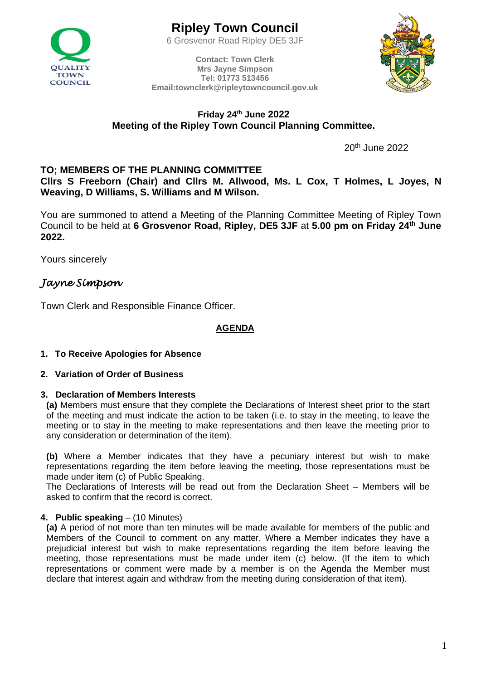

6 Grosvenor Road Ripley DE5 3JF

**Contact: Town Clerk Mrs Jayne Simpson Tel: 01773 513456 Email:townclerk@ripleytowncouncil.gov.uk**



# **Friday 24th June 2022 Meeting of the Ripley Town Council Planning Committee.**

20<sup>th</sup> June 2022

# **TO; MEMBERS OF THE PLANNING COMMITTEE**

**Cllrs S Freeborn (Chair) and Cllrs M. Allwood, Ms. L Cox, T Holmes, L Joyes, N Weaving, D Williams, S. Williams and M Wilson.**

You are summoned to attend a Meeting of the Planning Committee Meeting of Ripley Town Council to be held at **6 Grosvenor Road, Ripley, DE5 3JF** at **5.00 pm on Friday 24th June 2022.**

Yours sincerely

# *Jayne Simpson*

Town Clerk and Responsible Finance Officer.

### **AGENDA**

### **1. To Receive Apologies for Absence**

**2. Variation of Order of Business**

#### **3. Declaration of Members Interests**

**(a)** Members must ensure that they complete the Declarations of Interest sheet prior to the start of the meeting and must indicate the action to be taken (i.e. to stay in the meeting, to leave the meeting or to stay in the meeting to make representations and then leave the meeting prior to any consideration or determination of the item).

**(b)** Where a Member indicates that they have a pecuniary interest but wish to make representations regarding the item before leaving the meeting, those representations must be made under item (c) of Public Speaking.

The Declarations of Interests will be read out from the Declaration Sheet – Members will be asked to confirm that the record is correct.

### **4. Public speaking** – (10 Minutes)

**(a)** A period of not more than ten minutes will be made available for members of the public and Members of the Council to comment on any matter. Where a Member indicates they have a prejudicial interest but wish to make representations regarding the item before leaving the meeting, those representations must be made under item (c) below. (If the item to which representations or comment were made by a member is on the Agenda the Member must declare that interest again and withdraw from the meeting during consideration of that item).